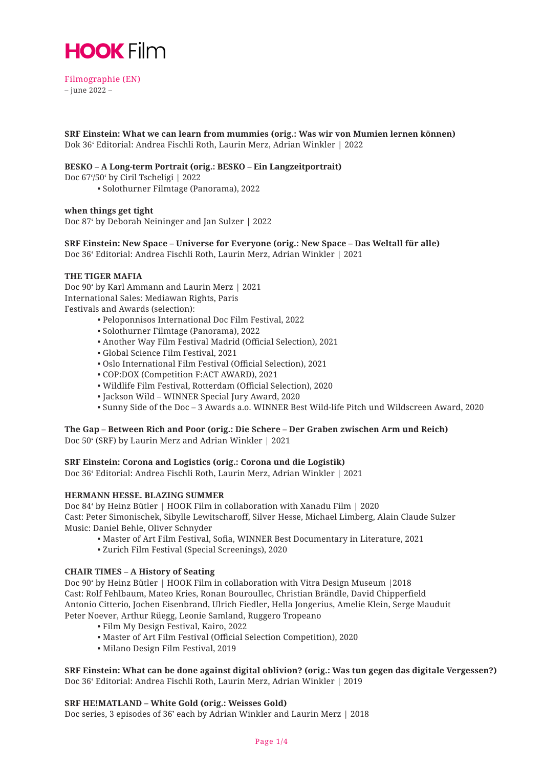

Filmographie (EN) – june 2022 –

**SRF Einstein: What we can learn from mummies (orig.: Was wir von Mumien lernen können)** Dok 36' Editorial: Andrea Fischli Roth, Laurin Merz, Adrian Winkler | 2022

#### **BESKO – A Long-term Portrait (orig.: BESKO – Ein Langzeitportrait)**

Doc 67'/50' by Ciril Tscheligi | 2022

• Solothurner Filmtage (Panorama), 2022

#### **when things get tight**

Doc 87' by Deborah Neininger and Jan Sulzer | 2022

**SRF Einstein: New Space – Universe for Everyone (orig.: New Space – Das Weltall für alle)** Doc 36' Editorial: Andrea Fischli Roth, Laurin Merz, Adrian Winkler | 2021

## **THE TIGER MAFIA**

Doc 90' by Karl Ammann and Laurin Merz | 2021 International Sales: Mediawan Rights, Paris Festivals and Awards (selection):

- Peloponnisos International Doc Film Festival, 2022
- Solothurner Filmtage (Panorama), 2022
- Another Way Film Festival Madrid (Official Selection), 2021
- Global Science Film Festival, 2021
- Oslo International Film Festival (Official Selection), 2021
- COP:DOX (Competition F:ACT AWARD), 2021
- Wildlife Film Festival, Rotterdam (Official Selection), 2020
- Jackson Wild WINNER Special Jury Award, 2020
- Sunny Side of the Doc 3 Awards a.o. WINNER Best Wild-life Pitch und Wildscreen Award, 2020

# **The Gap – Between Rich and Poor (orig.: Die Schere – Der Graben zwischen Arm und Reich)**

Doc 50' (SRF) by Laurin Merz and Adrian Winkler | 2021

#### **SRF Einstein: Corona and Logistics (orig.: Corona und die Logistik)**

Doc 36' Editorial: Andrea Fischli Roth, Laurin Merz, Adrian Winkler | 2021

# **HERMANN HESSE. BLAZING SUMMER**

Doc 84' by Heinz Bütler | HOOK Film in collaboration with Xanadu Film | 2020 Cast: Peter Simonischek, Sibylle Lewitscharoff, Silver Hesse, Michael Limberg, Alain Claude Sulzer Music: Daniel Behle, Oliver Schnyder

- Master of Art Film Festival, Sofia, WINNER Best Documentary in Literature, 2021
- Zurich Film Festival (Special Screenings), 2020

#### **CHAIR TIMES – A History of Seating**

Doc 90' by Heinz Bütler | HOOK Film in collaboration with Vitra Design Museum |2018 Cast: Rolf Fehlbaum, Mateo Kries, Ronan Bouroullec, Christian Brändle, David Chipperfield Antonio Citterio, Jochen Eisenbrand, Ulrich Fiedler, Hella Jongerius, Amelie Klein, Serge Mauduit Peter Noever, Arthur Rüegg, Leonie Samland, Ruggero Tropeano

- Film My Design Festival, Kairo, 2022
- Master of Art Film Festival (Official Selection Competition), 2020
- Milano Design Film Festival, 2019

**SRF Einstein: What can be done against digital oblivion? (orig.: Was tun gegen das digitale Vergessen?)** Doc 36' Editorial: Andrea Fischli Roth, Laurin Merz, Adrian Winkler | 2019

#### **SRF HE!MATLAND – White Gold (orig.: Weisses Gold)**

Doc series, 3 episodes of 36' each by Adrian Winkler and Laurin Merz | 2018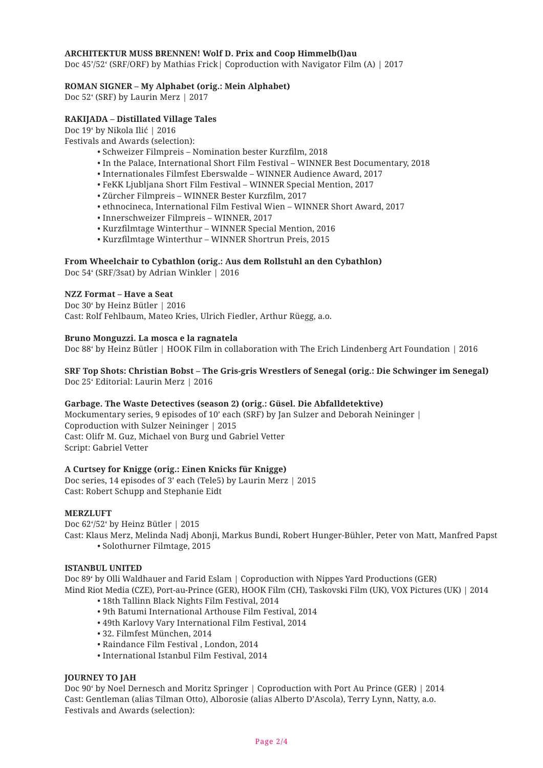## **ARCHITEKTUR MUSS BRENNEN! Wolf D. Prix and Coop Himmelb(l)au**

Doc 45'/52' (SRF/ORF) by Mathias Frick| Coproduction with Navigator Film (A) | 2017

# **ROMAN SIGNER – My Alphabet (orig.: Mein Alphabet)**

Doc 52' (SRF) by Laurin Merz | 2017

# **RAKIJADA – Distillated Village Tales**

Doc 19' by Nikola Ilić | 2016

Festivals and Awards (selection):

- Schweizer Filmpreis Nomination bester Kurzfilm, 2018
- In the Palace, International Short Film Festival WINNER Best Documentary, 2018
- Internationales Filmfest Eberswalde WINNER Audience Award, 2017
- FeKK Ljubljana Short Film Festival WINNER Special Mention, 2017
- Zürcher Filmpreis WINNER Bester Kurzfilm, 2017
- ethnocineca, International Film Festival Wien WINNER Short Award, 2017
- Innerschweizer Filmpreis WINNER, 2017
- Kurzfilmtage Winterthur WINNER Special Mention, 2016
- Kurzfilmtage Winterthur WINNER Shortrun Preis, 2015

# **From Wheelchair to Cybathlon (orig.: Aus dem Rollstuhl an den Cybathlon)**

Doc 54' (SRF/3sat) by Adrian Winkler | 2016

# **NZZ Format – Have a Seat**

Doc 30' by Heinz Bütler | 2016 Cast: Rolf Fehlbaum, Mateo Kries, Ulrich Fiedler, Arthur Rüegg, a.o.

# **Bruno Monguzzi. La mosca e la ragnatela**

Doc 88' by Heinz Bütler | HOOK Film in collaboration with The Erich Lindenberg Art Foundation | 2016

## **SRF Top Shots: Christian Bobst – The Gris-gris Wrestlers of Senegal (orig.: Die Schwinger im Senegal)** Doc 25' Editorial: Laurin Merz | 2016

#### **Garbage. The Waste Detectives (season 2) (orig.: Güsel. Die Abfalldetektive)**

Mockumentary series, 9 episodes of 10' each (SRF) by Jan Sulzer and Deborah Neininger | Coproduction with Sulzer Neininger | 2015 Cast: Olifr M. Guz, Michael von Burg und Gabriel Vetter Script: Gabriel Vetter

#### **A Curtsey for Knigge (orig.: Einen Knicks für Knigge)**

Doc series, 14 episodes of 3' each (Tele5) by Laurin Merz | 2015 Cast: Robert Schupp and Stephanie Eidt

#### **MERZLUFT**

Doc 62'/52' by Heinz Bütler | 2015 Cast: Klaus Merz, Melinda Nadj Abonji, Markus Bundi, Robert Hunger-Bühler, Peter von Matt, Manfred Papst • Solothurner Filmtage, 2015

#### **ISTANBUL UNITED**

Doc 89' by Olli Waldhauer and Farid Eslam | Coproduction with Nippes Yard Productions (GER) Mind Riot Media (CZE), Port-au-Prince (GER), HOOK Film (CH), Taskovski Film (UK), VOX Pictures (UK) | 2014

- 18th Tallinn Black Nights Film Festival, 2014
- 9th Batumi International Arthouse Film Festival, 2014
- 49th Karlovy Vary International Film Festival, 2014
- 32. Filmfest München, 2014
- Raindance Film Festival , London, 2014
- International Istanbul Film Festival, 2014

# **JOURNEY TO JAH**

Doc 90' by Noel Dernesch and Moritz Springer | Coproduction with Port Au Prince (GER) | 2014 Cast: Gentleman (alias Tilman Otto), Alborosie (alias Alberto D'Ascola), Terry Lynn, Natty, a.o. Festivals and Awards (selection):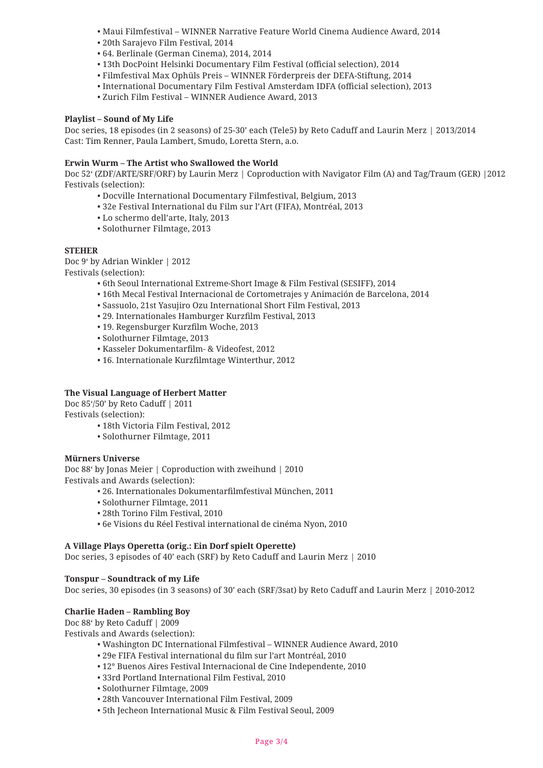- Maui Filmfestival WINNER Narrative Feature World Cinema Audience Award, 2014
- 20th Sarajevo Film Festival, 2014
- 64. Berlinale (German Cinema), 2014, 2014
- 13th DocPoint Helsinki Documentary Film Festival (official selection), 2014
- Filmfestival Max Ophüls Preis WINNER Förderpreis der DEFA-Stiftung, 2014
- International Documentary Film Festival Amsterdam IDFA (official selection), 2013
- Zurich Film Festival WINNER Audience Award, 2013

# **Playlist – Sound of My Life**

Doc series, 18 episodes (in 2 seasons) of 25-30' each (Tele5) by Reto Caduff and Laurin Merz | 2013/2014 Cast: Tim Renner, Paula Lambert, Smudo, Loretta Stern, a.o.

## **Erwin Wurm – The Artist who Swallowed the World**

Doc 52' (ZDF/ARTE/SRF/ORF) by Laurin Merz | Coproduction with Navigator Film (A) and Tag/Traum (GER) |2012 Festivals (selection):

- Docville International Documentary Filmfestival, Belgium, 2013
- 32e Festival International du Film sur l'Art (FIFA), Montréal, 2013
- Lo schermo dell'arte, Italy, 2013
- Solothurner Filmtage, 2013

# **STEHER**

Doc 9' by Adrian Winkler | 2012 Festivals (selection):

- 6th Seoul International Extreme-Short Image & Film Festival (SESIFF), 2014
- 16th Mecal Festival Internacional de Cortometrajes y Animación de Barcelona, 2014
- Sassuolo, 21st Yasujiro Ozu International Short Film Festival, 2013
- 29. Internationales Hamburger Kurzfilm Festival, 2013
- 19. Regensburger Kurzfilm Woche, 2013
- Solothurner Filmtage, 2013
- Kasseler Dokumentarfilm- & Videofest, 2012
- 16. Internationale Kurzfilmtage Winterthur, 2012

# **The Visual Language of Herbert Matter**

Doc 85'/50' by Reto Caduff | 2011 Festivals (selection):

- 18th Victoria Film Festival, 2012
- Solothurner Filmtage, 2011

#### **Mürners Universe**

Doc 88' by Jonas Meier | Coproduction with zweihund | 2010 Festivals and Awards (selection):

- 26. Internationales Dokumentarfilmfestival München, 2011
- Solothurner Filmtage, 2011
- 28th Torino Film Festival, 2010
- 6e Visions du Réel Festival international de cinéma Nyon, 2010

#### **A Village Plays Operetta (orig.: Ein Dorf spielt Operette)**

Doc series, 3 episodes of 40' each (SRF) by Reto Caduff and Laurin Merz | 2010

# **Tonspur – Soundtrack of my Life**

Doc series, 30 episodes (in 3 seasons) of 30' each (SRF/3sat) by Reto Caduff and Laurin Merz | 2010-2012

# **Charlie Haden – Rambling Boy**

Doc 88' by Reto Caduff | 2009

Festivals and Awards (selection):

- Washington DC International Filmfestival WINNER Audience Award, 2010
- 29e FIFA Festival international du film sur l'art Montréal, 2010
- 12° Buenos Aires Festival Internacional de Cine Independente, 2010
- 33rd Portland International Film Festival, 2010
- Solothurner Filmtage, 2009
- 28th Vancouver International Film Festival, 2009
- 5th Jecheon International Music & Film Festival Seoul, 2009